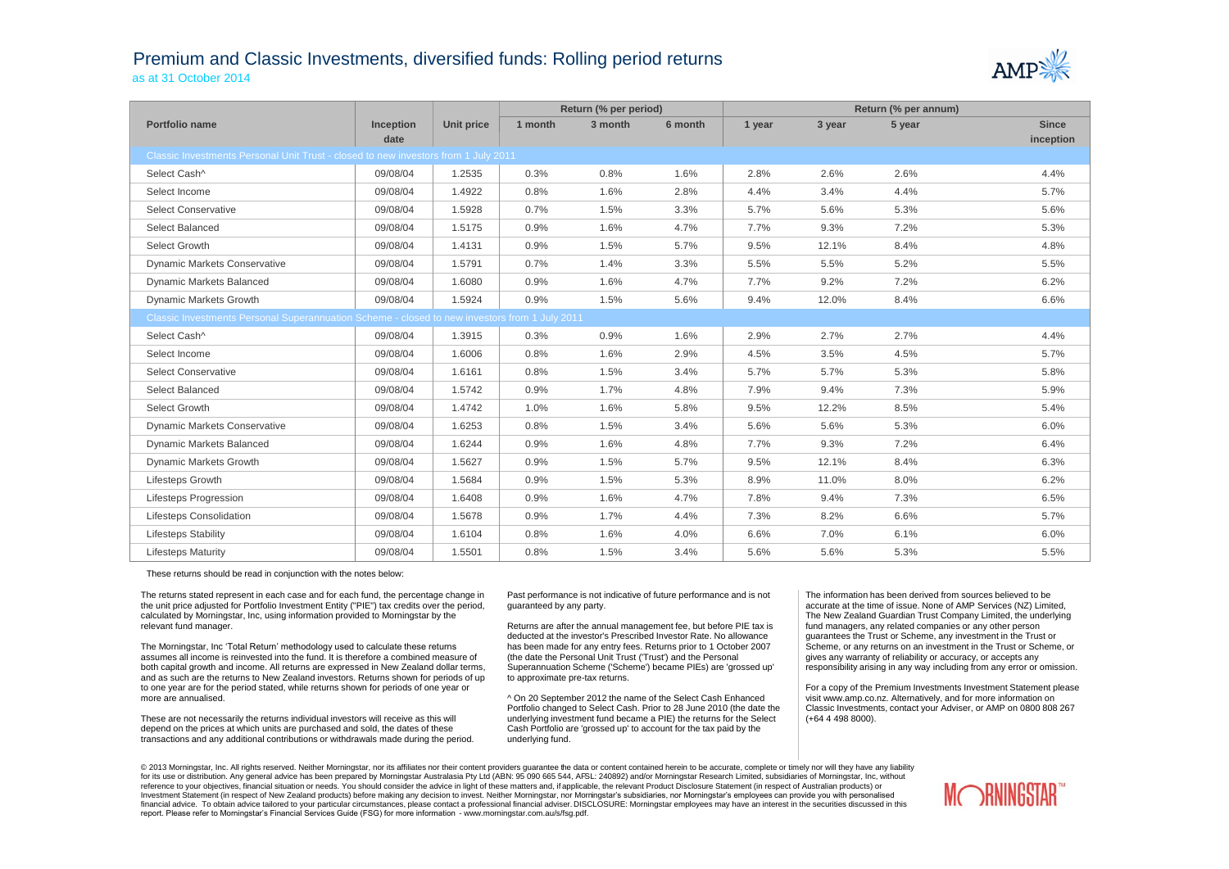## Premium and Classic Investments, diversified funds: Rolling period returns as at 31 October 2014



|                                                                                               |           |            | Return (% per period) |         |         | Return (% per annum) |        |        |              |  |
|-----------------------------------------------------------------------------------------------|-----------|------------|-----------------------|---------|---------|----------------------|--------|--------|--------------|--|
| Portfolio name                                                                                | Inception | Unit price | 1 month               | 3 month | 6 month | 1 year               | 3 year | 5 year | <b>Since</b> |  |
|                                                                                               | date      |            |                       |         |         |                      |        |        | inception    |  |
| Classic Investments Personal Unit Trust - closed to new investors from 1 July 2011            |           |            |                       |         |         |                      |        |        |              |  |
| Select Cash^                                                                                  | 09/08/04  | 1.2535     | 0.3%                  | 0.8%    | 1.6%    | 2.8%                 | 2.6%   | 2.6%   | 4.4%         |  |
| Select Income                                                                                 | 09/08/04  | 1.4922     | 0.8%                  | 1.6%    | 2.8%    | 4.4%                 | 3.4%   | 4.4%   | 5.7%         |  |
| <b>Select Conservative</b>                                                                    | 09/08/04  | 1.5928     | 0.7%                  | 1.5%    | 3.3%    | 5.7%                 | 5.6%   | 5.3%   | 5.6%         |  |
| Select Balanced                                                                               | 09/08/04  | 1.5175     | 0.9%                  | 1.6%    | 4.7%    | 7.7%                 | 9.3%   | 7.2%   | 5.3%         |  |
| Select Growth                                                                                 | 09/08/04  | 1.4131     | 0.9%                  | 1.5%    | 5.7%    | 9.5%                 | 12.1%  | 8.4%   | 4.8%         |  |
| <b>Dynamic Markets Conservative</b>                                                           | 09/08/04  | 1.5791     | 0.7%                  | 1.4%    | 3.3%    | 5.5%                 | 5.5%   | 5.2%   | 5.5%         |  |
| <b>Dynamic Markets Balanced</b>                                                               | 09/08/04  | 1.6080     | 0.9%                  | 1.6%    | 4.7%    | 7.7%                 | 9.2%   | 7.2%   | 6.2%         |  |
| <b>Dynamic Markets Growth</b>                                                                 | 09/08/04  | 1.5924     | 0.9%                  | 1.5%    | 5.6%    | 9.4%                 | 12.0%  | 8.4%   | 6.6%         |  |
| Classic Investments Personal Superannuation Scheme - closed to new investors from 1 July 2011 |           |            |                       |         |         |                      |        |        |              |  |
| Select Cash^                                                                                  | 09/08/04  | 1.3915     | 0.3%                  | 0.9%    | 1.6%    | 2.9%                 | 2.7%   | 2.7%   | 4.4%         |  |
| Select Income                                                                                 | 09/08/04  | 1.6006     | 0.8%                  | 1.6%    | 2.9%    | 4.5%                 | 3.5%   | 4.5%   | 5.7%         |  |
| <b>Select Conservative</b>                                                                    | 09/08/04  | 1.6161     | 0.8%                  | 1.5%    | 3.4%    | 5.7%                 | 5.7%   | 5.3%   | 5.8%         |  |
| Select Balanced                                                                               | 09/08/04  | 1.5742     | 0.9%                  | 1.7%    | 4.8%    | 7.9%                 | 9.4%   | 7.3%   | 5.9%         |  |
| Select Growth                                                                                 | 09/08/04  | 1.4742     | 1.0%                  | 1.6%    | 5.8%    | 9.5%                 | 12.2%  | 8.5%   | 5.4%         |  |
| <b>Dynamic Markets Conservative</b>                                                           | 09/08/04  | 1.6253     | 0.8%                  | 1.5%    | 3.4%    | 5.6%                 | 5.6%   | 5.3%   | 6.0%         |  |
| <b>Dynamic Markets Balanced</b>                                                               | 09/08/04  | 1.6244     | 0.9%                  | 1.6%    | 4.8%    | 7.7%                 | 9.3%   | 7.2%   | 6.4%         |  |
| <b>Dynamic Markets Growth</b>                                                                 | 09/08/04  | 1.5627     | 0.9%                  | 1.5%    | 5.7%    | 9.5%                 | 12.1%  | 8.4%   | 6.3%         |  |
| <b>Lifesteps Growth</b>                                                                       | 09/08/04  | 1.5684     | 0.9%                  | 1.5%    | 5.3%    | 8.9%                 | 11.0%  | 8.0%   | 6.2%         |  |
| Lifesteps Progression                                                                         | 09/08/04  | 1.6408     | 0.9%                  | 1.6%    | 4.7%    | 7.8%                 | 9.4%   | 7.3%   | 6.5%         |  |
| <b>Lifesteps Consolidation</b>                                                                | 09/08/04  | 1.5678     | 0.9%                  | 1.7%    | 4.4%    | 7.3%                 | 8.2%   | 6.6%   | 5.7%         |  |
| <b>Lifesteps Stability</b>                                                                    | 09/08/04  | 1.6104     | 0.8%                  | 1.6%    | 4.0%    | 6.6%                 | 7.0%   | 6.1%   | 6.0%         |  |
| <b>Lifesteps Maturity</b>                                                                     | 09/08/04  | 1.5501     | 0.8%                  | 1.5%    | 3.4%    | 5.6%                 | 5.6%   | 5.3%   | 5.5%         |  |

These returns should be read in conjunction with the notes below:

The returns stated represent in each case and for each fund, the percentage change in the unit price adjusted for Portfolio Investment Entity ("PIE") tax credits over the period, calculated by Morningstar, Inc, using information provided to Morningstar by the relevant fund manager.

The Morningstar, Inc 'Total Return' methodology used to calculate these returns assumes all income is reinvested into the fund. It is therefore a combined measure of both capital growth and income. All returns are expressed in New Zealand dollar terms, and as such are the returns to New Zealand investors. Returns shown for periods of up to one year are for the period stated, while returns shown for periods of one year or more are annualised.

These are not necessarily the returns individual investors will receive as this will depend on the prices at which units are purchased and sold, the dates of these transactions and any additional contributions or withdrawals made during the period.

Past performance is not indicative of future performance and is not guaranteed by any party.

Returns are after the annual management fee, but before PIE tax is deducted at the investor's Prescribed Investor Rate. No allowance has been made for any entry fees. Returns prior to 1 October 2007 (the date the Personal Unit Trust ('Trust') and the Personal Superannuation Scheme ('Scheme') became PIEs) are 'grossed up' to approximate pre-tax returns.

^ On 20 September 2012 the name of the Select Cash Enhanced Portfolio changed to Select Cash. Prior to 28 June 2010 (the date the underlying investment fund became a PIE) the returns for the Select Cash Portfolio are 'grossed up' to account for the tax paid by the underlying fund.

The information has been derived from sources believed to be accurate at the time of issue. None of AMP Services (NZ) Limited, The New Zealand Guardian Trust Company Limited, the underlying fund managers, any related companies or any other person guarantees the Trust or Scheme, any investment in the Trust or Scheme, or any returns on an investment in the Trust or Scheme, or gives any warranty of reliability or accuracy, or accepts any responsibility arising in any way including from any error or omission.

For a copy of the Premium Investments Investment Statement please visit www.amp.co.nz. Alternatively, and for more information on Classic Investments, contact your Adviser, or AMP on 0800 808 267 (+64 4 498 8000).

© 2013 Morningstar, Inc. All rights reserved. Neither Morningstar, nor its affiliates nor their content providers quarantee the data or content contained herein to be accurate, complete or timely nor will they have any lia for its use or distribution. Any general advice has been prepared by Morningstar Australasia Pty Ltd (ABN: 95 090 665 544, AFSL: 240892) and/or Morningstar Research Limited, subsidiaries of Morningstar, Inc, without reference to your objectives, financial situation or needs. You should consider the advice in light of these matters and, if applicable, the relevant Product Disclosure Statement (in respect of Australian products) or Investment Statement (in respect of New Zealand products) before making any decision to invest. Neither Morningstar, nor Morningstar's subsidiaries, nor Morningstar's employees can provide you with personalised financial advice. To obtain advice tailored to your particular circumstances, please contact a professional financial adviser. DISCLOSURE: Morningstar employees may have an interest in the securities discussed in this report. Please refer to Morningstar's Financial Services Guide (FSG) for more information - www.morningstar.com.au/s/fsg.pdf.